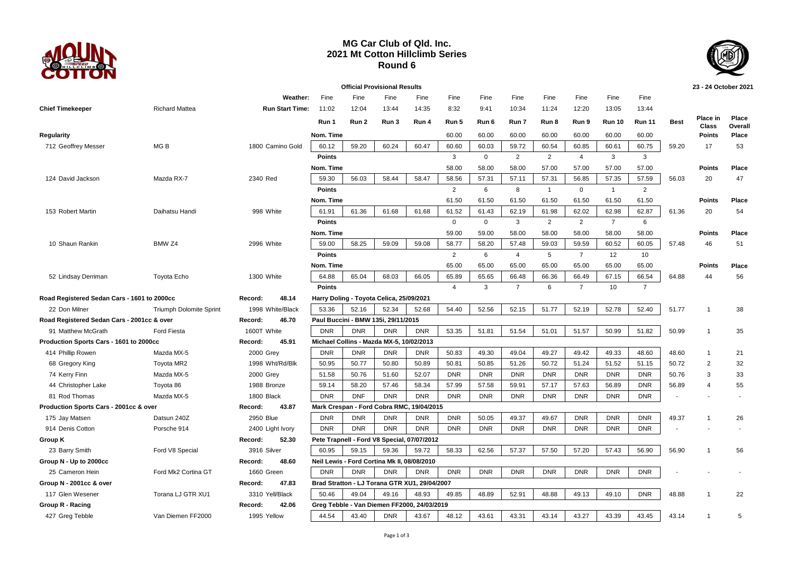

## **MG Car Club of Qld. Inc. 2021 Mt Cotton Hillclimb Series Round 6**



|                                             |                         |                        |               |            | <b>Official Provisional Results</b>         |                                               |                |              |                |                |                |                |                |             | 23 - 24 October 2021          |                  |
|---------------------------------------------|-------------------------|------------------------|---------------|------------|---------------------------------------------|-----------------------------------------------|----------------|--------------|----------------|----------------|----------------|----------------|----------------|-------------|-------------------------------|------------------|
|                                             |                         | Weather:               | Fine          | Fine       | Fine                                        | Fine                                          | Fine           | Fine         | Fine           | Fine           | Fine           | Fine           | Fine           |             |                               |                  |
| <b>Chief Timekeeper</b>                     | <b>Richard Mattea</b>   | <b>Run Start Time:</b> | 11:02         | 12:04      | 13:44                                       | 14:35                                         | 8:32           | 9:41         | 10:34          | 11:24          | 12:20          | 13:05          | 13:44          |             |                               |                  |
|                                             |                         |                        | Run 1         | Run 2      | Run 3                                       | Run 4                                         | Run 5          | Run 6        | Run 7          | Run 8          | Run 9          | <b>Run 10</b>  | <b>Run 11</b>  | <b>Best</b> | <b>Place in</b>               | Place            |
|                                             |                         |                        | Nom. Time     |            |                                             |                                               | 60.00          | 60.00        | 60.00          | 60.00          | 60.00          | 60.00          | 60.00          |             | <b>Class</b><br><b>Points</b> | Overall<br>Place |
| Regularity<br>712 Geoffrey Messer           | MG <sub>B</sub>         | 1800 Camino Gold       | 60.12         | 59.20      | 60.24                                       | 60.47                                         | 60.60          | 60.03        | 59.72          | 60.54          | 60.85          | 60.61          | 60.75          | 59.20       | 17                            | 53               |
|                                             |                         |                        | <b>Points</b> |            |                                             |                                               | $\mathbf{3}$   | $\mathbf{0}$ | 2              | 2              | $\overline{4}$ | 3              | 3              |             |                               |                  |
|                                             |                         |                        | Nom. Time     |            |                                             |                                               | 58.00          | 58.00        | 58.00          | 57.00          | 57.00          | 57.00          | 57.00          |             | <b>Points</b>                 | Place            |
| 124 David Jackson                           | Mazda RX-7              | 2340 Red               | 59.30         | 56.03      | 58.44                                       | 58.47                                         | 58.56          | 57.31        | 57.11          | 57.31          | 56.85          | 57.35          | 57.59          | 56.03       | 20                            | 47               |
|                                             |                         |                        | <b>Points</b> |            |                                             |                                               | $\overline{2}$ | 6            | 8              | $\overline{1}$ | $\mathbf 0$    | $\mathbf{1}$   | $\overline{2}$ |             |                               |                  |
|                                             |                         |                        | Nom. Time     |            |                                             |                                               | 61.50          | 61.50        | 61.50          | 61.50          | 61.50          | 61.50          | 61.50          |             | <b>Points</b>                 | Place            |
| 153 Robert Martin                           | Daihatsu Handi          | 998 White              | 61.91         | 61.36      | 61.68                                       | 61.68                                         | 61.52          | 61.43        | 62.19          | 61.98          | 62.02          | 62.98          | 62.87          | 61.36       | 20                            | 54               |
|                                             |                         |                        | <b>Points</b> |            |                                             |                                               | $\mathbf 0$    | $\mathbf 0$  | $\mathbf{3}$   | $\overline{2}$ | $\overline{2}$ | $\overline{7}$ | $6\phantom{1}$ |             |                               |                  |
|                                             |                         |                        | Nom. Time     |            |                                             |                                               | 59.00          | 59.00        | 58.00          | 58.00          | 58.00          | 58.00          | 58.00          |             | Points                        | Place            |
| 10 Shaun Rankin                             | BMW <sub>Z4</sub>       | 2996 White             | 59.00         | 58.25      | 59.09                                       | 59.08                                         | 58.77          | 58.20        | 57.48          | 59.03          | 59.59          | 60.52          | 60.05          | 57.48       | 46                            | 51               |
|                                             |                         |                        | <b>Points</b> |            |                                             |                                               | $\overline{2}$ | 6            | $\overline{4}$ | 5              | $\overline{7}$ | 12             | 10             |             |                               |                  |
|                                             |                         |                        | Nom. Time     |            |                                             |                                               | 65.00          | 65.00        | 65.00          | 65.00          | 65.00          | 65.00          | 65.00          |             | <b>Points</b>                 | Place            |
| 52 Lindsay Derriman                         | <b>Toyota Echo</b>      | 1300 White             | 64.88         | 65.04      | 68.03                                       | 66.05                                         | 65.89          | 65.65        | 66.48          | 66.36          | 66.49          | 67.15          | 66.54          | 64.88       | 44                            | 56               |
|                                             |                         |                        | <b>Points</b> |            |                                             |                                               | $\overline{4}$ | $\mathbf{3}$ | $\overline{7}$ | 6              | $\overline{7}$ | 10             | $\overline{7}$ |             |                               |                  |
| Road Registered Sedan Cars - 1601 to 2000cc |                         | 48.14<br>Record:       |               |            | Harry Doling - Toyota Celica, 25/09/2021    |                                               |                |              |                |                |                |                |                |             |                               |                  |
| 22 Don Milner                               | Triumph Dolomite Sprint | 1998 White/Black       | 53.36         | 52.16      | 52.34                                       | 52.68                                         | 54.40          | 52.56        | 52.15          | 51.77          | 52.19          | 52.78          | 52.40          | 51.77       | $\overline{1}$                | 38               |
| Road Registered Sedan Cars - 2001cc & over  |                         | Record:<br>46.70       |               |            | Paul Buccini - BMW 135i, 29/11/2015         |                                               |                |              |                |                |                |                |                |             |                               |                  |
| 91 Matthew McGrath<br><b>Ford Fiesta</b>    |                         | 1600T White            | <b>DNR</b>    | <b>DNR</b> | <b>DNR</b>                                  | <b>DNR</b>                                    | 53.35          | 51.81        | 51.54          | 51.01          | 51.57          | 50.99          | 51.82          | 50.99       | $\overline{1}$                | 35               |
| Production Sports Cars - 1601 to 2000cc     |                         | 45.91<br>Record:       |               |            | Michael Collins - Mazda MX-5, 10/02/2013    |                                               |                |              |                |                |                |                |                |             |                               |                  |
| 414 Phillip Rowen                           | Mazda MX-5              | 2000 Grey              | <b>DNR</b>    | <b>DNR</b> | <b>DNR</b>                                  | <b>DNR</b>                                    | 50.83          | 49.30        | 49.04          | 49.27          | 49.42          | 49.33          | 48.60          | 48.60       | $\mathbf{1}$                  | 21               |
| 68 Gregory King                             | Toyota MR2              | 1998 Wht/Rd/Blk        | 50.95         | 50.77      | 50.80                                       | 50.89                                         | 50.81          | 50.85        | 51.26          | 50.72          | 51.24          | 51.52          | 51.15          | 50.72       | $\overline{2}$                | 32               |
| 74 Kerry Finn                               | Mazda MX-5              | 2000 Grey              | 51.58         | 50.76      | 51.60                                       | 52.07                                         | <b>DNR</b>     | <b>DNR</b>   | <b>DNR</b>     | <b>DNR</b>     | <b>DNR</b>     | <b>DNR</b>     | <b>DNR</b>     | 50.76       | 3                             | 33               |
| 44 Christopher Lake                         | Toyota 86               | 1988 Bronze            | 59.14         | 58.20      | 57.46                                       | 58.34                                         | 57.99          | 57.58        | 59.91          | 57.17          | 57.63          | 56.89          | <b>DNR</b>     | 56.89       | $\overline{4}$                | 55               |
| 81 Rod Thomas                               | Mazda MX-5              | 1800 Black             | <b>DNR</b>    | <b>DNF</b> | <b>DNR</b>                                  | <b>DNR</b>                                    | <b>DNR</b>     | <b>DNR</b>   | <b>DNR</b>     | <b>DNR</b>     | <b>DNR</b>     | <b>DNR</b>     | <b>DNR</b>     |             |                               |                  |
| Production Sports Cars - 2001cc & over      |                         | 43.87<br>Record:       |               |            |                                             | Mark Crespan - Ford Cobra RMC, 19/04/2015     |                |              |                |                |                |                |                |             |                               |                  |
| 175 Jay Matsen                              | Datsun 240Z             | 2950 Blue              | <b>DNR</b>    | <b>DNR</b> | <b>DNR</b>                                  | <b>DNR</b>                                    | <b>DNR</b>     | 50.05        | 49.37          | 49.67          | <b>DNR</b>     | <b>DNR</b>     | <b>DNR</b>     | 49.37       | $\overline{1}$                | 26               |
| 914 Denis Cotton                            | Porsche 914             | 2400 Light Ivory       | <b>DNR</b>    | <b>DNR</b> | <b>DNR</b>                                  | <b>DNR</b>                                    | <b>DNR</b>     | <b>DNR</b>   | <b>DNR</b>     | <b>DNR</b>     | <b>DNR</b>     | <b>DNR</b>     | <b>DNR</b>     |             |                               |                  |
| Group K                                     |                         | 52.30<br>Record:       |               |            |                                             | Pete Trapnell - Ford V8 Special, 07/07/2012   |                |              |                |                |                |                |                |             |                               |                  |
| 23 Barry Smith                              | Ford V8 Special         | 3916 Silver            | 60.95         | 59.15      | 59.36                                       | 59.72                                         | 58.33          | 62.56        | 57.37          | 57.50          | 57.20          | 57.43          | 56.90          | 56.90       | $\mathbf{1}$                  | 56               |
| Group N - Up to 2000cc                      |                         | 48.60<br>Record:       |               |            | Neil Lewis - Ford Cortina Mk II, 08/08/2010 |                                               |                |              |                |                |                |                |                |             |                               |                  |
| 25 Cameron Hein                             | Ford Mk2 Cortina GT     | 1660 Green             | <b>DNR</b>    | <b>DNR</b> | <b>DNR</b>                                  | <b>DNR</b>                                    | <b>DNR</b>     | <b>DNR</b>   | <b>DNR</b>     | <b>DNR</b>     | <b>DNR</b>     | <b>DNR</b>     | <b>DNR</b>     |             |                               |                  |
| Group N - 2001cc & over                     |                         | 47.83<br>Record:       |               |            |                                             | Brad Stratton - LJ Torana GTR XU1, 29/04/2007 |                |              |                |                |                |                |                |             |                               |                  |
| 117 Glen Wesener                            | Torana LJ GTR XU1       | 3310 Yell/Black        | 50.46         | 49.04      | 49.16                                       | 48.93                                         | 49.85          | 48.89        | 52.91          | 48.88          | 49.13          | 49.10          | <b>DNR</b>     | 48.88       | $\overline{1}$                | 22               |
| Group R - Racing                            |                         | 42.06<br>Record:       |               |            |                                             | Greg Tebble - Van Diemen FF2000, 24/03/2019   |                |              |                |                |                |                |                |             |                               |                  |
| 427 Greg Tebble                             | Van Diemen FF2000       | 1995 Yellow            | 44.54         | 43.40      | <b>DNR</b>                                  | 43.67                                         | 48.12          | 43.61        | 43.31          | 43.14          | 43.27          | 43.39          | 43.45          | 43.14       | $\overline{1}$                | 5                |
|                                             |                         |                        |               |            |                                             |                                               |                |              |                |                |                |                |                |             |                               |                  |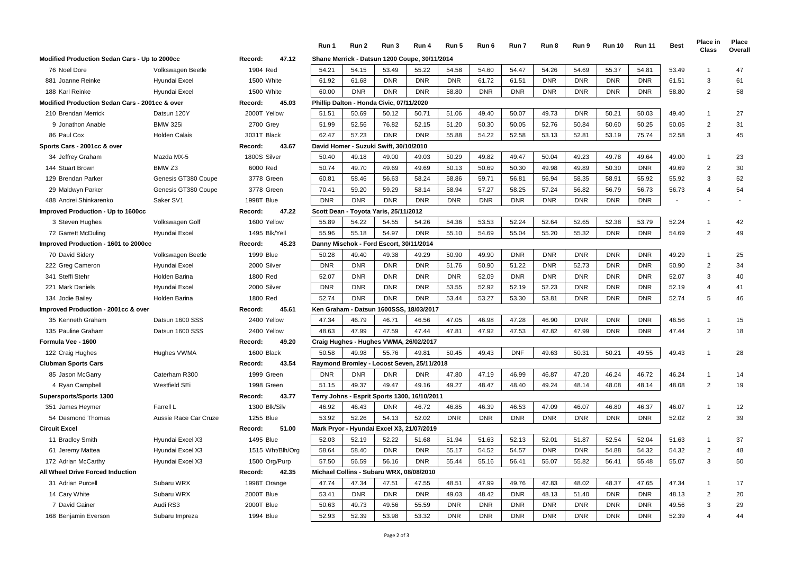|                                                           |                       |                                          | Run 1                                        | Run 2                                    | Run 3                    | Run 4                                         | Run 5      | Run 6      | Run 7      | Run 8      | Run 9      | <b>Run 10</b> | <b>Run 11</b> | <b>Best</b>    | <b>Place in</b><br>Class | Place<br>Overall |
|-----------------------------------------------------------|-----------------------|------------------------------------------|----------------------------------------------|------------------------------------------|--------------------------|-----------------------------------------------|------------|------------|------------|------------|------------|---------------|---------------|----------------|--------------------------|------------------|
| Modified Production Sedan Cars - Up to 2000cc<br>Record:  |                       |                                          |                                              |                                          |                          | Shane Merrick - Datsun 1200 Coupe, 30/11/2014 |            |            |            |            |            |               |               |                |                          |                  |
| 76 Noel Dore                                              | Volkswagen Beetle     | 1904 Red                                 | 54.21                                        | 54.15                                    | 53.49                    | 55.22                                         | 54.58      | 54.60      | 54.47      | 54.26      | 54.69      | 55.37         | 54.81         | 53.49          | $\overline{1}$           | 47               |
| 881 Joanne Reinke                                         | Hyundai Excel         | 1500 White                               | 61.92                                        | 61.68                                    | <b>DNR</b>               | <b>DNR</b>                                    | <b>DNR</b> | 61.72      | 61.51      | <b>DNR</b> | <b>DNR</b> | <b>DNR</b>    | <b>DNR</b>    | 61.51          | 3                        | 61               |
| 188 Karl Reinke                                           | Hyundai Excel         | 1500 White                               | 60.00                                        | <b>DNR</b>                               | <b>DNR</b>               | <b>DNR</b>                                    | 58.80      | <b>DNR</b> | <b>DNR</b> | <b>DNR</b> | <b>DNR</b> | <b>DNR</b>    | <b>DNR</b>    | 58.80          | $\overline{2}$           | 58               |
| <b>Modified Production Sedan Cars - 2001cc &amp; over</b> |                       | 45.03<br>Record:                         |                                              | Phillip Dalton - Honda Civic, 07/11/2020 |                          |                                               |            |            |            |            |            |               |               |                |                          |                  |
| 210 Brendan Merrick                                       | Datsun 120Y           | 2000T Yellow                             | 51.51                                        | 50.69                                    | 50.12                    | 50.71                                         | 51.06      | 49.40      | 50.07      | 49.73      | <b>DNR</b> | 50.21         | 50.03         | 49.40          | $\overline{1}$           | 27               |
| 9 Jonathon Anable                                         | <b>BMW 325i</b>       | 2700 Grey                                | 51.99                                        | 52.56                                    | 76.82                    | 52.15                                         | 51.20      | 50.30      | 50.05      | 52.76      | 50.84      | 50.60         | 50.25         | 50.05          | $\overline{2}$           | 31               |
| 86 Paul Cox                                               | <b>Holden Calais</b>  | 3031T Black                              | 62.47                                        | 57.23                                    | <b>DNR</b>               | <b>DNR</b>                                    | 55.88      | 54.22      | 52.58      | 53.13      | 52.81      | 53.19         | 75.74         | 52.58          | 3                        | 45               |
| Sports Cars - 2001cc & over                               |                       | 43.67<br>Record:                         |                                              | David Homer - Suzuki Swift, 30/10/2010   |                          |                                               |            |            |            |            |            |               |               |                |                          |                  |
| 34 Jeffrey Graham                                         | Mazda MX-5            | 1800S Silver                             | 50.40                                        | 49.18                                    | 49.00                    | 49.03                                         | 50.29      | 49.82      | 49.47      | 50.04      | 49.23      | 49.78         | 49.64         | 49.00          | $\overline{1}$           | 23               |
| 144 Stuart Brown                                          | BMW <sub>Z3</sub>     | 6000 Red                                 | 50.74                                        | 49.70                                    | 49.69                    | 49.69                                         | 50.13      | 50.69      | 50.30      | 49.98      | 49.89      | 50.30         | <b>DNR</b>    | 49.69          | $\overline{2}$           | 30               |
| 129 Brendan Parker                                        | Genesis GT380 Coupe   | 3778 Green                               | 60.81                                        | 58.46                                    | 56.63                    | 58.24                                         | 58.86      | 59.71      | 56.81      | 56.94      | 58.35      | 58.91         | 55.92         | 55.92          | 3                        | 52               |
| 29 Maldwyn Parker                                         | Genesis GT380 Coupe   | 3778 Green                               | 70.41                                        | 59.20                                    | 59.29                    | 58.14                                         | 58.94      | 57.27      | 58.25      | 57.24      | 56.82      | 56.79         | 56.73         | 56.73          | $\overline{4}$           | 54               |
| 488 Andrei Shinkarenko                                    | Saker SV1             | 1998T Blue                               | <b>DNR</b>                                   | <b>DNR</b>                               | <b>DNR</b>               | <b>DNR</b>                                    | <b>DNR</b> | <b>DNR</b> | <b>DNR</b> | <b>DNR</b> | <b>DNR</b> | <b>DNR</b>    | <b>DNR</b>    | $\blacksquare$ |                          |                  |
| Improved Production - Up to 1600cc                        |                       | 47.22<br>Record:                         | <b>Scott Dean</b>                            |                                          | Toyota Yaris, 25/11/2012 |                                               |            |            |            |            |            |               |               |                |                          |                  |
| 3 Steven Hughes                                           | Volkswagen Golf       | 1600 Yellow                              | 55.89                                        | 54.22                                    | 54.55                    | 54.26                                         | 54.36      | 53.53      | 52.24      | 52.64      | 52.65      | 52.38         | 53.79         | 52.24          | $\overline{1}$           | 42               |
| 72 Garrett McDuling                                       | Hyundai Excel         | 1495 Blk/Yell                            | 55.96                                        | 55.18                                    | 54.97                    | <b>DNR</b>                                    | 55.10      | 54.69      | 55.04      | 55.20      | 55.32      | <b>DNR</b>    | <b>DNR</b>    | 54.69          | $\overline{2}$           | 49               |
| Improved Production - 1601 to 2000cc                      | Record:<br>45.23      |                                          | Danny Mischok - Ford Escort, 30/11/2014      |                                          |                          |                                               |            |            |            |            |            |               |               |                |                          |                  |
| 70 David Sidery                                           | Volkswagen Beetle     | 1999 Blue                                | 50.28                                        | 49.40                                    | 49.38                    | 49.29                                         | 50.90      | 49.90      | <b>DNR</b> | <b>DNR</b> | <b>DNR</b> | <b>DNR</b>    | <b>DNR</b>    | 49.29          | $\overline{1}$           | 25               |
| 222 Greg Cameron                                          | Hyundai Excel         | 2000 Silver                              | <b>DNR</b>                                   | <b>DNR</b>                               | <b>DNR</b>               | <b>DNR</b>                                    | 51.76      | 50.90      | 51.22      | <b>DNR</b> | 52.73      | <b>DNR</b>    | <b>DNR</b>    | 50.90          | $\overline{2}$           | 34               |
| 341 Steffi Stehr                                          | Holden Barina         | 1800 Red                                 | 52.07                                        | <b>DNR</b>                               | <b>DNR</b>               | <b>DNR</b>                                    | <b>DNR</b> | 52.09      | <b>DNR</b> | <b>DNR</b> | <b>DNR</b> | <b>DNR</b>    | <b>DNR</b>    | 52.07          | 3                        | 40               |
| 221 Mark Daniels                                          | Hyundai Excel         | 2000 Silver                              | <b>DNR</b>                                   | <b>DNR</b>                               | <b>DNR</b>               | <b>DNR</b>                                    | 53.55      | 52.92      | 52.19      | 52.23      | <b>DNR</b> | <b>DNR</b>    | <b>DNR</b>    | 52.19          | $\overline{4}$           | 41               |
| 134 Jodie Bailey                                          | Holden Barina         | 1800 Red                                 | 52.74                                        | <b>DNR</b>                               | <b>DNR</b>               | <b>DNR</b>                                    | 53.44      | 53.27      | 53.30      | 53.81      | <b>DNR</b> | <b>DNR</b>    | <b>DNR</b>    | 52.74          | 5                        | 46               |
| Improved Production - 2001cc & over<br>Record:            |                       |                                          |                                              | Ken Graham - Datsun                      | 1600SSS.                 | 18/03/2017                                    |            |            |            |            |            |               |               |                |                          |                  |
| 35 Kenneth Graham                                         | Datsun 1600 SSS       | 2400 Yellow                              | 47.34                                        | 46.79                                    | 46.71                    | 46.56                                         | 47.05      | 46.98      | 47.28      | 46.90      | <b>DNR</b> | <b>DNR</b>    | <b>DNR</b>    | 46.56          | $\overline{1}$           | 15               |
| 135 Pauline Graham                                        | Datsun 1600 SSS       | 2400 Yellow                              | 48.63                                        | 47.99                                    | 47.59                    | 47.44                                         | 47.81      | 47.92      | 47.53      | 47.82      | 47.99      | <b>DNR</b>    | <b>DNR</b>    | 47.44          | $\overline{2}$           | 18               |
| Formula Vee - 1600                                        |                       | Record:<br>49.20                         | Craig Hughes - Hughes VWMA, 26/02/2017       |                                          |                          |                                               |            |            |            |            |            |               |               |                |                          |                  |
| 122 Craig Hughes                                          | Hughes VWMA           | 1600 Black                               | 50.58                                        | 49.98                                    | 55.76                    | 49.81                                         | 50.45      | 49.43      | <b>DNF</b> | 49.63      | 50.31      | 50.21         | 49.55         | 49.43          | $\overline{1}$           | 28               |
| <b>Clubman Sports Cars</b>                                |                       | 43.54<br>Record:                         | Raymond Bromley - Locost Seven, 25/11/2018   |                                          |                          |                                               |            |            |            |            |            |               |               |                |                          |                  |
| 85 Jason McGarry                                          | Caterham R300         | 1999 Green                               | <b>DNR</b>                                   | <b>DNR</b>                               | <b>DNR</b>               | <b>DNR</b>                                    | 47.80      | 47.19      | 46.99      | 46.87      | 47.20      | 46.24         | 46.72         | 46.24          | $\overline{1}$           | 14               |
| 4 Ryan Campbell                                           | Westfield SEi         | 1998 Green                               | 51.15                                        | 49.37                                    | 49.47                    | 49.16                                         | 49.27      | 48.47      | 48.40      | 49.24      | 48.14      | 48.08         | 48.14         | 48.08          | $\overline{2}$           | 19               |
| Supersports/Sports 1300                                   |                       | 43.77<br>Record:                         | Terry Johns - Esprit Sports 1300, 16/10/2011 |                                          |                          |                                               |            |            |            |            |            |               |               |                |                          |                  |
| 351 James Heymer                                          | Farrell L             | 1300 Blk/Silv                            | 46.92                                        | 46.43                                    | <b>DNR</b>               | 46.72                                         | 46.85      | 46.39      | 46.53      | 47.09      | 46.07      | 46.80         | 46.37         | 46.07          | $\overline{1}$           | 12               |
| 54 Desmond Thomas                                         | Aussie Race Car Cruze | 1255 Blue                                | 53.92                                        | 52.26                                    | 54.13                    | 52.02                                         | <b>DNR</b> | <b>DNR</b> | <b>DNR</b> | <b>DNR</b> | <b>DNR</b> | <b>DNR</b>    | <b>DNR</b>    | 52.02          | $\overline{2}$           | 39               |
| <b>Circuit Excel</b>                                      |                       | Record:<br>51.00                         | <b>Mark Pryor</b>                            |                                          |                          | - Hyundai Excel X3, 21/07/2019                |            |            |            |            |            |               |               |                |                          |                  |
| 11 Bradley Smith                                          | Hyundai Excel X3      | 1495 Blue                                | 52.03                                        | 52.19                                    | 52.22                    | 51.68                                         | 51.94      | 51.63      | 52.13      | 52.01      | 51.87      | 52.54         | 52.04         | 51.63          | $\mathbf{1}$             | 37               |
| 61 Jeremy Mattea                                          | Hyundai Excel X3      | 1515 Wht/Blh/Org                         | 58.64                                        | 58.40                                    | <b>DNR</b>               | <b>DNR</b>                                    | 55.17      | 54.52      | 54.57      | <b>DNR</b> | <b>DNR</b> | 54.88         | 54.32         | 54.32          | $\overline{2}$           | 48               |
| 172 Adrian McCarthy                                       | Hyundai Excel X3      | 1500 Org/Purp                            | 57.50                                        | 56.59                                    | 56.16                    | <b>DNR</b>                                    | 55.44      | 55.16      | 56.41      | 55.07      | 55.82      | 56.41         | 55.48         | 55.07          | 3                        | 50               |
| All Wheel Drive Forced Induction                          |                       | Michael Collins - Subaru WRX, 08/08/2010 |                                              |                                          |                          |                                               |            |            |            |            |            |               |               |                |                          |                  |
| 31 Adrian Purcell                                         | Subaru WRX            | 1998T Orange                             | 47.74                                        | 47.34                                    | 47.51                    | 47.55                                         | 48.51      | 47.99      | 49.76      | 47.83      | 48.02      | 48.37         | 47.65         | 47.34          | $\overline{1}$           | 17               |
| 14 Cary White                                             | Subaru WRX            | 2000T Blue                               | 53.41                                        | <b>DNR</b>                               | <b>DNR</b>               | <b>DNR</b>                                    | 49.03      | 48.42      | <b>DNR</b> | 48.13      | 51.40      | <b>DNR</b>    | <b>DNR</b>    | 48.13          | $\overline{2}$           | 20               |
| 7 David Gainer                                            | Audi RS3              | 2000T Blue                               | 50.63                                        | 49.73                                    | 49.56                    | 55.59                                         | <b>DNR</b> | <b>DNR</b> | <b>DNR</b> | <b>DNR</b> | <b>DNR</b> | <b>DNR</b>    | <b>DNR</b>    | 49.56          | 3                        | 29               |
| 168 Benjamin Everson                                      | Subaru Impreza        | 1994 Blue                                | 52.93                                        | 52.39                                    | 53.98                    | 53.32                                         | <b>DNR</b> | <b>DNR</b> | <b>DNR</b> | <b>DNR</b> | <b>DNR</b> | <b>DNR</b>    | <b>DNR</b>    | 52.39          | $\overline{4}$           | 44               |
|                                                           |                       |                                          |                                              |                                          |                          |                                               |            |            |            |            |            |               |               |                |                          |                  |